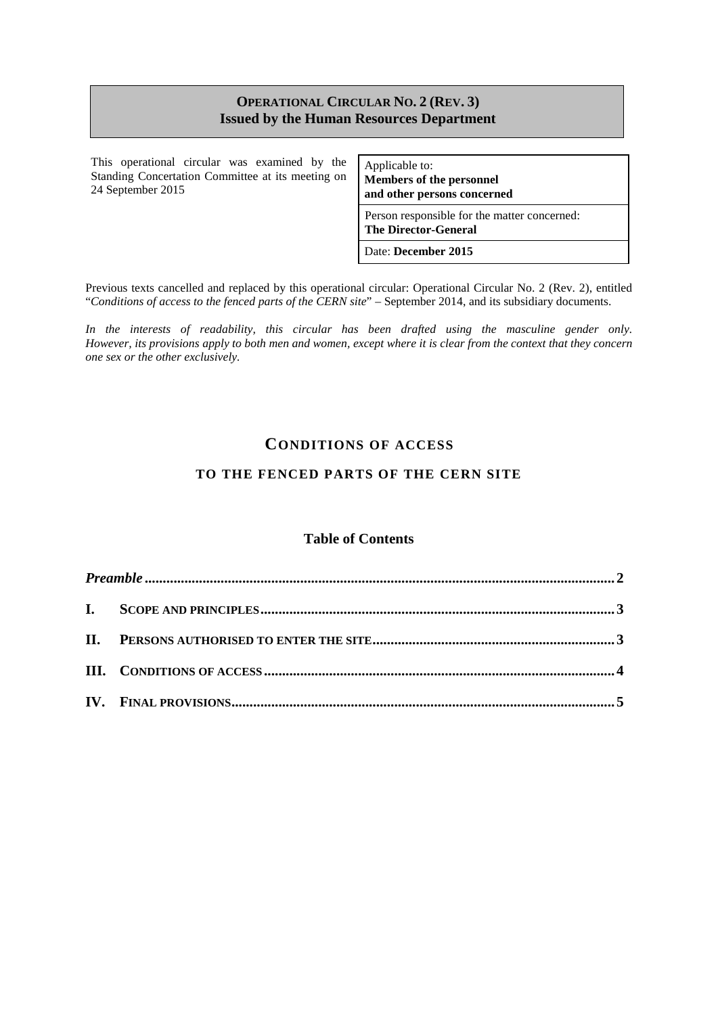#### **OPERATIONAL CIRCULAR NO. 2 (REV. 3) Issued by the Human Resources Department**

This operational circular was examined by the Standing Concertation Committee at its meeting on 24 September 2015

Applicable to: **Members of the personnel and other persons concerned**

Person responsible for the matter concerned: **The Director-General**

Date: **December 2015**

Previous texts cancelled and replaced by this operational circular: Operational Circular No. 2 (Rev. 2), entitled "*Conditions of access to the fenced parts of the CERN site*" – September 2014, and its subsidiary documents.

*In the interests of readability, this circular has been drafted using the masculine gender only. However, its provisions apply to both men and women, except where it is clear from the context that they concern one sex or the other exclusively.*

### **CONDITIONS OF ACCESS**

### **TO THE FENCED PARTS OF THE CERN SITE**

#### **Table of Contents**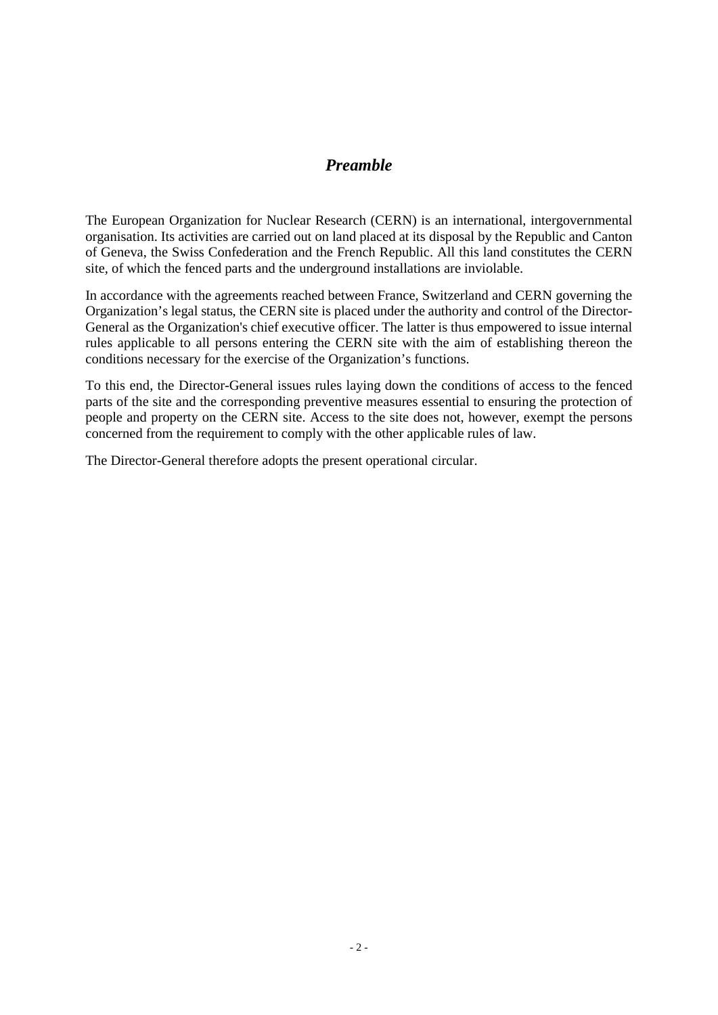## *Preamble*

<span id="page-1-0"></span>The European Organization for Nuclear Research (CERN) is an international, intergovernmental organisation. Its activities are carried out on land placed at its disposal by the Republic and Canton of Geneva, the Swiss Confederation and the French Republic. All this land constitutes the CERN site, of which the fenced parts and the underground installations are inviolable.

In accordance with the agreements reached between France, Switzerland and CERN governing the Organization's legal status, the CERN site is placed under the authority and control of the Director-General as the Organization's chief executive officer. The latter is thus empowered to issue internal rules applicable to all persons entering the CERN site with the aim of establishing thereon the conditions necessary for the exercise of the Organization's functions.

To this end, the Director-General issues rules laying down the conditions of access to the fenced parts of the site and the corresponding preventive measures essential to ensuring the protection of people and property on the CERN site. Access to the site does not, however, exempt the persons concerned from the requirement to comply with the other applicable rules of law.

The Director-General therefore adopts the present operational circular.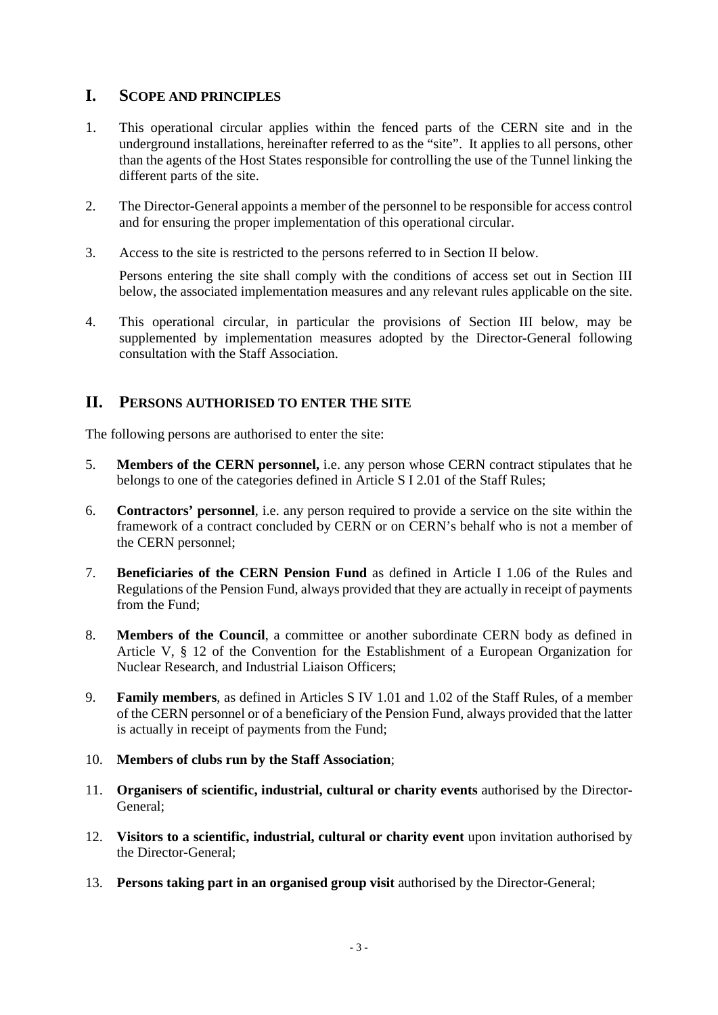# <span id="page-2-0"></span>**I. SCOPE AND PRINCIPLES**

- 1. This operational circular applies within the fenced parts of the CERN site and in the underground installations, hereinafter referred to as the "site". It applies to all persons, other than the agents of the Host States responsible for controlling the use of the Tunnel linking the different parts of the site.
- 2. The Director-General appoints a member of the personnel to be responsible for access control and for ensuring the proper implementation of this operational circular.
- 3. Access to the site is restricted to the persons referred to in Section II below.

Persons entering the site shall comply with the conditions of access set out in Section III below, the associated implementation measures and any relevant rules applicable on the site.

4. This operational circular, in particular the provisions of Section III below, may be supplemented by implementation measures adopted by the Director-General following consultation with the Staff Association.

# <span id="page-2-1"></span>**II. PERSONS AUTHORISED TO ENTER THE SITE**

The following persons are authorised to enter the site:

- 5. **Members of the CERN personnel,** i.e. any person whose CERN contract stipulates that he belongs to one of the categories defined in Article S I 2.01 of the Staff Rules;
- 6. **Contractors' personnel**, i.e. any person required to provide a service on the site within the framework of a contract concluded by CERN or on CERN's behalf who is not a member of the CERN personnel;
- 7. **Beneficiaries of the CERN Pension Fund** as defined in Article I 1.06 of the Rules and Regulations of the Pension Fund, always provided that they are actually in receipt of payments from the Fund;
- 8. **Members of the Council**, a committee or another subordinate CERN body as defined in Article V, § 12 of the Convention for the Establishment of a European Organization for Nuclear Research, and Industrial Liaison Officers;
- 9. **Family members**, as defined in Articles S IV 1.01 and 1.02 of the Staff Rules, of a member of the CERN personnel or of a beneficiary of the Pension Fund, always provided that the latter is actually in receipt of payments from the Fund;
- 10. **Members of clubs run by the Staff Association**;
- 11. **Organisers of scientific, industrial, cultural or charity events** authorised by the Director-General;
- 12. **Visitors to a scientific, industrial, cultural or charity event** upon invitation authorised by the Director-General;
- 13. **Persons taking part in an organised group visit** authorised by the Director-General;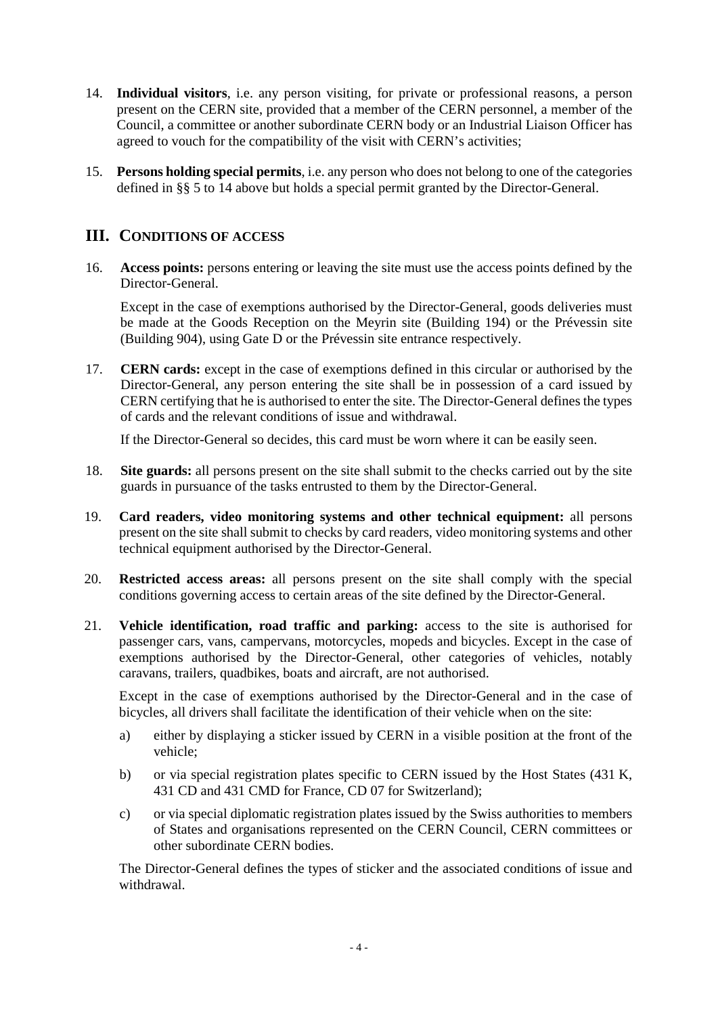- 14. **Individual visitors**, i.e. any person visiting, for private or professional reasons, a person present on the CERN site, provided that a member of the CERN personnel, a member of the Council, a committee or another subordinate CERN body or an Industrial Liaison Officer has agreed to vouch for the compatibility of the visit with CERN's activities;
- <span id="page-3-0"></span>15. **Persons holding special permits**, i.e. any person who does not belong to one of the categories defined in §§ 5 to 14 above but holds a special permit granted by the Director-General.

## **III. CONDITIONS OF ACCESS**

16. **Access points:** persons entering or leaving the site must use the access points defined by the Director-General.

Except in the case of exemptions authorised by the Director-General, goods deliveries must be made at the Goods Reception on the Meyrin site (Building 194) or the Prévessin site (Building 904), using Gate D or the Prévessin site entrance respectively.

17. **CERN cards:** except in the case of exemptions defined in this circular or authorised by the Director-General, any person entering the site shall be in possession of a card issued by CERN certifying that he is authorised to enter the site. The Director-General defines the types of cards and the relevant conditions of issue and withdrawal.

If the Director-General so decides, this card must be worn where it can be easily seen.

- 18. **Site guards:** all persons present on the site shall submit to the checks carried out by the site guards in pursuance of the tasks entrusted to them by the Director-General.
- 19. **Card readers, video monitoring systems and other technical equipment:** all persons present on the site shall submit to checks by card readers, video monitoring systems and other technical equipment authorised by the Director-General.
- 20. **Restricted access areas:** all persons present on the site shall comply with the special conditions governing access to certain areas of the site defined by the Director-General.
- 21. **Vehicle identification, road traffic and parking:** access to the site is authorised for passenger cars, vans, campervans, motorcycles, mopeds and bicycles. Except in the case of exemptions authorised by the Director-General, other categories of vehicles, notably caravans, trailers, quadbikes, boats and aircraft, are not authorised.

Except in the case of exemptions authorised by the Director-General and in the case of bicycles, all drivers shall facilitate the identification of their vehicle when on the site:

- a) either by displaying a sticker issued by CERN in a visible position at the front of the vehicle;
- b) or via special registration plates specific to CERN issued by the Host States (431 K, 431 CD and 431 CMD for France, CD 07 for Switzerland);
- c) or via special diplomatic registration plates issued by the Swiss authorities to members of States and organisations represented on the CERN Council, CERN committees or other subordinate CERN bodies.

The Director-General defines the types of sticker and the associated conditions of issue and withdrawal.